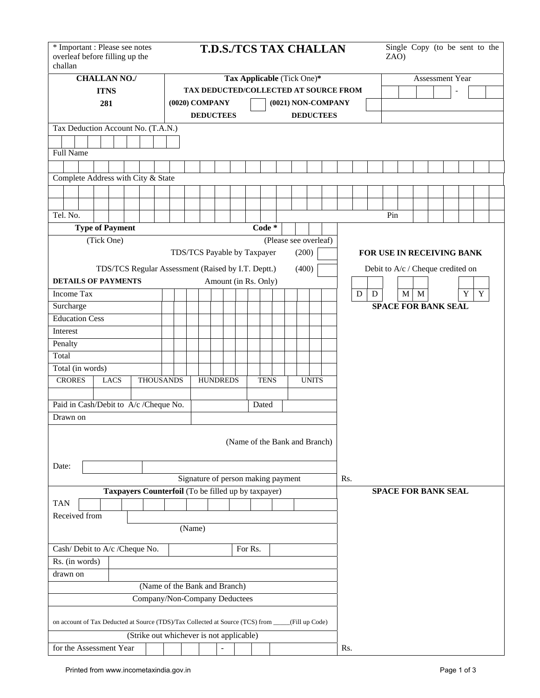| challan               | * Important : Please see notes<br>overleaf before filling up the                  |  |  |                                          |                            |  |                                    |  |                      |  |  |         |             |  |  |                |              | <b>T.D.S./TCS TAX CHALLAN</b> |                                   |           |                           |                            | ZAO)            |  |         |  |  |  |   | Single Copy (to be sent to the |  |
|-----------------------|-----------------------------------------------------------------------------------|--|--|------------------------------------------|----------------------------|--|------------------------------------|--|----------------------|--|--|---------|-------------|--|--|----------------|--------------|-------------------------------|-----------------------------------|-----------|---------------------------|----------------------------|-----------------|--|---------|--|--|--|---|--------------------------------|--|
| <b>CHALLAN NO./</b>   |                                                                                   |  |  |                                          | Tax Applicable (Tick One)* |  |                                    |  |                      |  |  |         |             |  |  |                |              |                               |                                   |           |                           |                            | Assessment Year |  |         |  |  |  |   |                                |  |
| <b>ITNS</b>           |                                                                                   |  |  | TAX DEDUCTED/COLLECTED AT SOURCE FROM    |                            |  |                                    |  |                      |  |  |         |             |  |  |                |              |                               |                                   |           |                           |                            |                 |  |         |  |  |  |   |                                |  |
|                       | 281                                                                               |  |  |                                          |                            |  | $(0020)$ COMPANY                   |  |                      |  |  |         |             |  |  |                |              | (0021) NON-COMPANY            |                                   |           |                           |                            |                 |  |         |  |  |  |   |                                |  |
|                       |                                                                                   |  |  |                                          |                            |  |                                    |  | <b>DEDUCTEES</b>     |  |  |         |             |  |  |                |              | <b>DEDUCTEES</b>              |                                   |           |                           |                            |                 |  |         |  |  |  |   |                                |  |
|                       | Tax Deduction Account No. (T.A.N.)                                                |  |  |                                          |                            |  |                                    |  |                      |  |  |         |             |  |  |                |              |                               |                                   |           |                           |                            |                 |  |         |  |  |  |   |                                |  |
| Full Name             |                                                                                   |  |  |                                          |                            |  |                                    |  |                      |  |  |         |             |  |  |                |              |                               |                                   |           |                           |                            |                 |  |         |  |  |  |   |                                |  |
|                       |                                                                                   |  |  |                                          |                            |  |                                    |  |                      |  |  |         |             |  |  |                |              |                               |                                   |           |                           |                            |                 |  |         |  |  |  |   |                                |  |
|                       | Complete Address with City & State                                                |  |  |                                          |                            |  |                                    |  |                      |  |  |         |             |  |  |                |              |                               |                                   |           |                           |                            |                 |  |         |  |  |  |   |                                |  |
|                       |                                                                                   |  |  |                                          |                            |  |                                    |  |                      |  |  |         |             |  |  |                |              |                               |                                   |           |                           |                            |                 |  |         |  |  |  |   |                                |  |
|                       |                                                                                   |  |  |                                          |                            |  |                                    |  |                      |  |  |         |             |  |  |                |              |                               |                                   |           |                           |                            |                 |  |         |  |  |  |   |                                |  |
| Tel. No.              |                                                                                   |  |  |                                          |                            |  |                                    |  |                      |  |  |         |             |  |  |                |              |                               |                                   |           |                           |                            | Pin             |  |         |  |  |  |   |                                |  |
|                       | <b>Type of Payment</b>                                                            |  |  |                                          |                            |  |                                    |  |                      |  |  |         | Code $*$    |  |  |                |              |                               |                                   |           |                           |                            |                 |  |         |  |  |  |   |                                |  |
|                       | (Tick One)                                                                        |  |  |                                          |                            |  |                                    |  |                      |  |  |         |             |  |  |                |              | (Please see overleaf)         |                                   |           |                           |                            |                 |  |         |  |  |  |   |                                |  |
|                       |                                                                                   |  |  |                                          |                            |  | TDS/TCS Payable by Taxpayer        |  |                      |  |  |         |             |  |  | (200)          |              |                               |                                   |           | FOR USE IN RECEIVING BANK |                            |                 |  |         |  |  |  |   |                                |  |
|                       |                                                                                   |  |  |                                          |                            |  |                                    |  |                      |  |  |         |             |  |  |                |              |                               |                                   |           |                           |                            |                 |  |         |  |  |  |   |                                |  |
|                       | TDS/TCS Regular Assessment (Raised by I.T. Deptt.)                                |  |  |                                          |                            |  |                                    |  |                      |  |  |         |             |  |  | (400)          |              |                               | Debit to A/c / Cheque credited on |           |                           |                            |                 |  |         |  |  |  |   |                                |  |
|                       | <b>DETAILS OF PAYMENTS</b>                                                        |  |  |                                          |                            |  |                                    |  | Amount (in Rs. Only) |  |  |         |             |  |  |                |              |                               |                                   |           |                           |                            |                 |  |         |  |  |  |   |                                |  |
| <b>Income Tax</b>     |                                                                                   |  |  |                                          |                            |  |                                    |  |                      |  |  |         |             |  |  |                |              |                               |                                   | ${\bf D}$ | $\mathbf D$               |                            |                 |  | $M$ $M$ |  |  |  | Y | Y                              |  |
| Surcharge             |                                                                                   |  |  |                                          |                            |  |                                    |  |                      |  |  |         |             |  |  |                |              |                               |                                   |           |                           | <b>SPACE FOR BANK SEAL</b> |                 |  |         |  |  |  |   |                                |  |
| <b>Education Cess</b> |                                                                                   |  |  |                                          |                            |  |                                    |  |                      |  |  |         |             |  |  |                |              |                               |                                   |           |                           |                            |                 |  |         |  |  |  |   |                                |  |
| Interest              |                                                                                   |  |  |                                          |                            |  |                                    |  |                      |  |  |         |             |  |  |                |              |                               |                                   |           |                           |                            |                 |  |         |  |  |  |   |                                |  |
| Penalty               |                                                                                   |  |  |                                          |                            |  |                                    |  |                      |  |  |         |             |  |  |                |              |                               |                                   |           |                           |                            |                 |  |         |  |  |  |   |                                |  |
| Total                 |                                                                                   |  |  |                                          |                            |  |                                    |  |                      |  |  |         |             |  |  |                |              |                               |                                   |           |                           |                            |                 |  |         |  |  |  |   |                                |  |
| Total (in words)      |                                                                                   |  |  |                                          |                            |  |                                    |  |                      |  |  |         |             |  |  |                |              |                               |                                   |           |                           |                            |                 |  |         |  |  |  |   |                                |  |
| <b>CRORES</b>         | <b>LACS</b>                                                                       |  |  | <b>THOUSANDS</b>                         |                            |  |                                    |  | <b>HUNDREDS</b>      |  |  |         | <b>TENS</b> |  |  |                | <b>UNITS</b> |                               |                                   |           |                           |                            |                 |  |         |  |  |  |   |                                |  |
|                       | Paid in Cash/Debit to A/c /Cheque No.                                             |  |  |                                          |                            |  |                                    |  |                      |  |  |         | Dated       |  |  |                |              |                               |                                   |           |                           |                            |                 |  |         |  |  |  |   |                                |  |
| Drawn on              |                                                                                   |  |  |                                          |                            |  |                                    |  |                      |  |  |         |             |  |  |                |              |                               |                                   |           |                           |                            |                 |  |         |  |  |  |   |                                |  |
|                       |                                                                                   |  |  |                                          |                            |  |                                    |  |                      |  |  |         |             |  |  |                |              | (Name of the Bank and Branch) |                                   |           |                           |                            |                 |  |         |  |  |  |   |                                |  |
| Date:                 |                                                                                   |  |  |                                          |                            |  |                                    |  |                      |  |  |         |             |  |  |                |              |                               |                                   |           |                           |                            |                 |  |         |  |  |  |   |                                |  |
|                       |                                                                                   |  |  |                                          |                            |  | Signature of person making payment |  |                      |  |  |         |             |  |  |                |              |                               | Rs.                               |           |                           |                            |                 |  |         |  |  |  |   |                                |  |
|                       | Taxpayers Counterfoil (To be filled up by taxpayer)                               |  |  |                                          |                            |  |                                    |  |                      |  |  |         |             |  |  |                |              |                               |                                   |           |                           | <b>SPACE FOR BANK SEAL</b> |                 |  |         |  |  |  |   |                                |  |
| <b>TAN</b>            |                                                                                   |  |  |                                          |                            |  |                                    |  |                      |  |  |         |             |  |  |                |              |                               |                                   |           |                           |                            |                 |  |         |  |  |  |   |                                |  |
| Received from         |                                                                                   |  |  |                                          |                            |  |                                    |  |                      |  |  |         |             |  |  |                |              |                               |                                   |           |                           |                            |                 |  |         |  |  |  |   |                                |  |
|                       |                                                                                   |  |  |                                          |                            |  | (Name)                             |  |                      |  |  |         |             |  |  |                |              |                               |                                   |           |                           |                            |                 |  |         |  |  |  |   |                                |  |
|                       | Cash/ Debit to A/c /Cheque No.                                                    |  |  |                                          |                            |  |                                    |  |                      |  |  | For Rs. |             |  |  |                |              |                               |                                   |           |                           |                            |                 |  |         |  |  |  |   |                                |  |
| Rs. (in words)        |                                                                                   |  |  |                                          |                            |  |                                    |  |                      |  |  |         |             |  |  |                |              |                               |                                   |           |                           |                            |                 |  |         |  |  |  |   |                                |  |
| drawn on              |                                                                                   |  |  |                                          |                            |  |                                    |  |                      |  |  |         |             |  |  |                |              |                               |                                   |           |                           |                            |                 |  |         |  |  |  |   |                                |  |
|                       |                                                                                   |  |  | (Name of the Bank and Branch)            |                            |  |                                    |  |                      |  |  |         |             |  |  |                |              |                               |                                   |           |                           |                            |                 |  |         |  |  |  |   |                                |  |
|                       |                                                                                   |  |  | Company/Non-Company Deductees            |                            |  |                                    |  |                      |  |  |         |             |  |  |                |              |                               |                                   |           |                           |                            |                 |  |         |  |  |  |   |                                |  |
|                       | on account of Tax Deducted at Source (TDS)/Tax Collected at Source (TCS) from ___ |  |  |                                          |                            |  |                                    |  |                      |  |  |         |             |  |  | (Fill up Code) |              |                               |                                   |           |                           |                            |                 |  |         |  |  |  |   |                                |  |
|                       |                                                                                   |  |  | (Strike out whichever is not applicable) |                            |  |                                    |  |                      |  |  |         |             |  |  |                |              |                               |                                   |           |                           |                            |                 |  |         |  |  |  |   |                                |  |
|                       | for the Assessment Year                                                           |  |  |                                          |                            |  |                                    |  |                      |  |  |         |             |  |  |                |              |                               |                                   | Rs.       |                           |                            |                 |  |         |  |  |  |   |                                |  |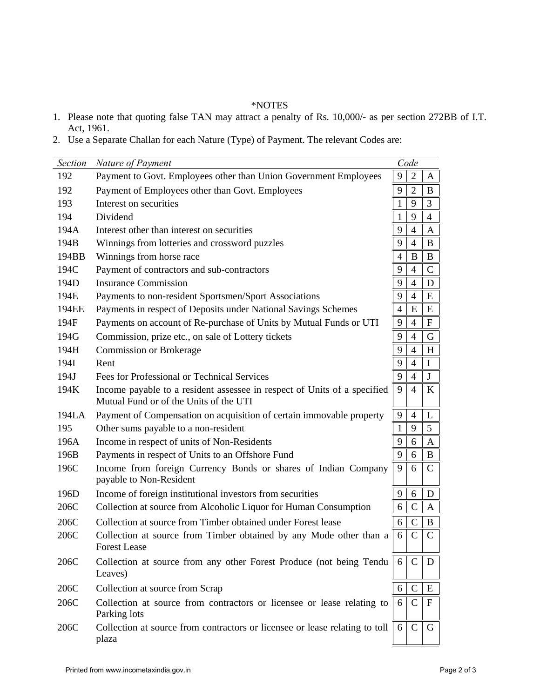## \*NOTES

- 1. Please note that quoting false TAN may attract a penalty of Rs. 10,000/- as per section 272BB of I.T. Act, 1961.
- 2. Use a Separate Challan for each Nature (Type) of Payment. The relevant Codes are:

| Section | Nature of Payment                                                                                                  |                | Code           |                |
|---------|--------------------------------------------------------------------------------------------------------------------|----------------|----------------|----------------|
| 192     | Payment to Govt. Employees other than Union Government Employees                                                   | 9              | $\overline{2}$ | A              |
| 192     | Payment of Employees other than Govt. Employees                                                                    | 9              | $\overline{2}$ | B              |
| 193     | Interest on securities                                                                                             | 1              | 9              | 3              |
| 194     | Dividend                                                                                                           | 1              | 9              | $\overline{4}$ |
| 194A    | Interest other than interest on securities                                                                         | 9              | $\overline{4}$ | $\mathbf{A}$   |
| 194B    | Winnings from lotteries and crossword puzzles                                                                      | 9              | $\overline{4}$ | B              |
| 194BB   | Winnings from horse race                                                                                           | $\overline{4}$ | B              | B              |
| 194C    | Payment of contractors and sub-contractors                                                                         | 9              | $\overline{4}$ | $\mathbf C$    |
| 194D    | <b>Insurance Commission</b>                                                                                        | 9              | $\overline{4}$ | D              |
| 194E    | Payments to non-resident Sportsmen/Sport Associations                                                              | 9              | $\overline{4}$ | E              |
| 194EE   | Payments in respect of Deposits under National Savings Schemes                                                     | $\overline{4}$ | E              | E              |
| 194F    | Payments on account of Re-purchase of Units by Mutual Funds or UTI                                                 | 9              | $\overline{4}$ | $\mathbf F$    |
| 194G    | Commission, prize etc., on sale of Lottery tickets                                                                 | 9              | $\overline{4}$ | G              |
| 194H    | <b>Commission or Brokerage</b>                                                                                     | 9              | $\overline{4}$ | H              |
| 194I    | Rent                                                                                                               | 9              | $\overline{4}$ | $\mathbf I$    |
| 194J    | Fees for Professional or Technical Services                                                                        | 9              | $\overline{4}$ | J              |
| 194K    | Income payable to a resident assessee in respect of Units of a specified<br>Mutual Fund or of the Units of the UTI | 9              | $\overline{4}$ | K              |
| 194LA   | Payment of Compensation on acquisition of certain immovable property                                               | 9              | $\overline{4}$ | L              |
| 195     | Other sums payable to a non-resident                                                                               | 1              | 9              | 5              |
| 196A    | Income in respect of units of Non-Residents                                                                        | 9              | 6              | A              |
| 196B    | Payments in respect of Units to an Offshore Fund                                                                   | 9              | 6              | B              |
| 196C    | Income from foreign Currency Bonds or shares of Indian Company<br>payable to Non-Resident                          | 9              | 6              | C              |
| 196D    | Income of foreign institutional investors from securities                                                          | 9              | 6              | D              |
| 206C    | Collection at source from Alcoholic Liquor for Human Consumption                                                   | 6              | $\mathsf{C}$   | $\mathbf{A}$   |
| 206C    | Collection at source from Timber obtained under Forest lease                                                       | 6              | $\mathsf{C}$   | B              |
| 206C    | Collection at source from Timber obtained by any Mode other than a<br><b>Forest Lease</b>                          | 6              | $\mathcal{C}$  | $\mathbf C$    |
| 206C    | Collection at source from any other Forest Produce (not being Tendu<br>Leaves)                                     | 6              | $\mathcal{C}$  | D              |
| 206C    | Collection at source from Scrap                                                                                    | 6              | $\mathcal{C}$  | E              |
| 206C    | Collection at source from contractors or licensee or lease relating to<br>Parking lots                             | 6              | $\mathcal{C}$  | $\mathbf{F}$   |
| 206C    | Collection at source from contractors or licensee or lease relating to toll<br>plaza                               | 6              | $\mathcal{C}$  | G              |